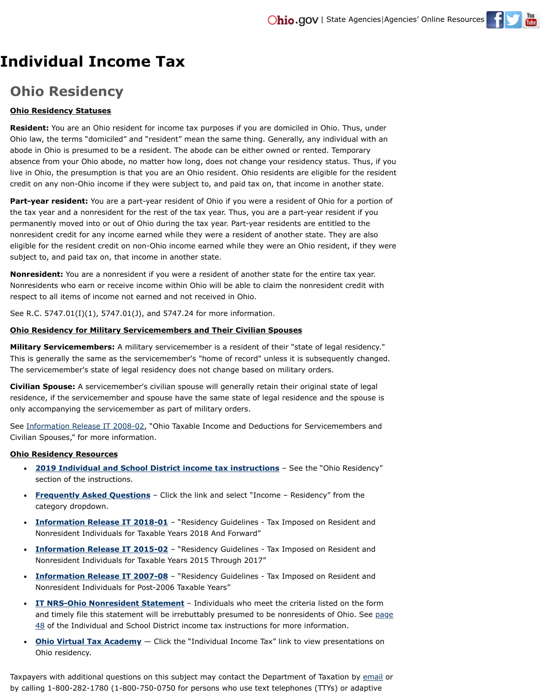

## **Ohio Residency**

## **Ohio Residency Statuses**

**Resident:** You are an Ohio resident for income tax purposes if you are domiciled in Ohio. Thus, under Ohio law, the terms "domiciled" and "resident" mean the same thing. Generally, any individual with an abode in Ohio is presumed to be a resident. The abode can be either owned or rented. Temporary absence from your Ohio abode, no matter how long, does not change your residency status. Thus, if you live in Ohio, the presumption is that you are an Ohio resident. Ohio residents are eligible for the resident credit on any non-Ohio income if they were subject to, and paid tax on, that income in another state.

**Part-year resident:** You are a part-year resident of Ohio if you were a resident of Ohio for a portion of the tax year and a nonresident for the rest of the tax year. Thus, you are a part-year resident if you permanently moved into or out of Ohio during the tax year. Part-year residents are entitled to the nonresident credit for any income earned while they were a resident of another state. They are also eligible for the resident credit on non-Ohio income earned while they were an Ohio resident, if they were subject to, and paid tax on, that income in another state.

**Nonresident:** You are a nonresident if you were a resident of another state for the entire tax year. Nonresidents who earn or receive income within Ohio will be able to claim the nonresident credit with respect to all items of income not earned and not received in Ohio.

See R.C. 5747.01(I)(1), 5747.01(J), and 5747.24 for more information.

## **Ohio Residency for Military Servicemembers and Their Civilian Spouses**

**Military Servicemembers:** A military servicemember is a resident of their "state of legal residency." This is generally the same as the servicemember's "home of record" unless it is subsequently changed. The servicemember's state of legal residency does not change based on military orders.

**Civilian Spouse:** A servicemember's civilian spouse will generally retain their original state of legal residence, if the servicemember and spouse have the same state of legal residence and the spouse is only accompanying the servicemember as part of military orders.

See [Information Release IT 2008-02,](https://www.tax.ohio.gov/Portals/0/ohio_individual/individual/information_releases/IT2008-02IR.pdf) "Ohio Taxable Income and Deductions for Servicemembers and Civilian Spouses," for more information.

## **Ohio Residency Resources**

- **[2019 Individual and School District income tax instructions](https://www.tax.ohio.gov/portals/0/forms/ohio_individual/individual/2019/PIT_IT1040_Booklet.pdf#page=11)** See the "Ohio Residency" section of the instructions.
- **[Frequently Asked Questions](https://www.tax.ohio.gov/faq.aspx)** Click the link and select "Income Residency" from the category dropdown.
- **[Information Release IT 2018-01](https://www.tax.ohio.gov/Portals/0/ohio_individual/individual/information_releases/2018-01ResidencyIR.pdf)** "Residency Guidelines Tax Imposed on Resident and Nonresident Individuals for Taxable Years 2018 And Forward"
- **[Information Release IT 2015-02](https://www.tax.ohio.gov/Portals/0/ohio_individual/individual/information_releases/2015-02ResidencyIR.pdf)** "Residency Guidelines Tax Imposed on Resident and Nonresident Individuals for Taxable Years 2015 Through 2017"
- **[Information Release IT 2007-08](https://www.tax.ohio.gov/Portals/0/ohio_individual/individual/information_releases/2007-08ResidencyIR.pdf)** "Residency Guidelines Tax Imposed on Resident and Nonresident Individuals for Post-2006 Taxable Years"
- **[IT NRS-Ohio Nonresident Statement](https://www.tax.ohio.gov/portals/0/forms/ohio_individual/individual/2019/PIT_ITNRS_FI.pdf)** Individuals who meet the criteria listed on the form [and timely file this statement will be irrebuttably presumed to be nonresidents of Ohio. See page](https://www.tax.ohio.gov/portals/0/forms/ohio_individual/individual/2019/PIT_IT1040_Booklet.pdf#page=49) 48 of the Individual and School District income tax instructions for more information.
- **[Ohio Virtual Tax Academy](https://www.tax.ohio.gov/Researcher/VTA/OVTATopics.aspx)** Click the "Individual Income Tax" link to view presentations on Ohio residency.

Taxpayers with additional questions on this subject may contact the Department of Taxation by [email](https://www.tax.state.oh.us/email/TaxMailWeb/global_emailus.html) or by calling 1-800-282-1780 (1-800-750-0750 for persons who use text telephones (TTYs) or adaptive